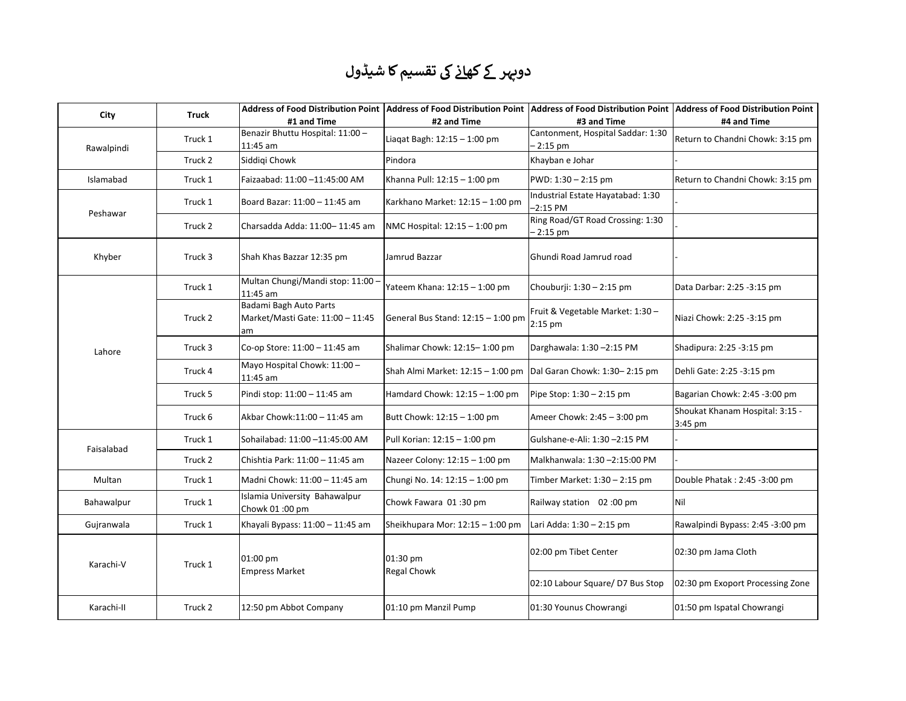## دوپہر کے کھ<u>انے</u> کی تقسیم کا شیڈول

| City       | Truck   | #1 and Time                                                      | Address of Food Distribution Point  Address of Food Distribution Point  Address of Food Distribution Point  Address of Food Distribution Point<br>#2 and Time | #3 and Time                                     | #4 and Time                                  |
|------------|---------|------------------------------------------------------------------|---------------------------------------------------------------------------------------------------------------------------------------------------------------|-------------------------------------------------|----------------------------------------------|
| Rawalpindi | Truck 1 | Benazir Bhuttu Hospital: 11:00 -<br>11:45 am                     | Liagat Bagh: $12:15 - 1:00$ pm                                                                                                                                | Cantonment, Hospital Saddar: 1:30<br>$-2:15$ pm | Return to Chandni Chowk: 3:15 pm             |
|            | Truck 2 | Siddigi Chowk                                                    | Pindora                                                                                                                                                       | Khayban e Johar                                 |                                              |
| Islamabad  | Truck 1 | Faizaabad: 11:00 -11:45:00 AM                                    | Khanna Pull: 12:15 - 1:00 pm                                                                                                                                  | PWD: 1:30 - 2:15 pm                             | Return to Chandni Chowk: 3:15 pm             |
| Peshawar   | Truck 1 | Board Bazar: 11:00 - 11:45 am                                    | Karkhano Market: 12:15 - 1:00 pm                                                                                                                              | Industrial Estate Hayatabad: 1:30<br>$-2:15$ PM |                                              |
|            | Truck 2 | Charsadda Adda: 11:00- 11:45 am                                  | NMC Hospital: 12:15 - 1:00 pm                                                                                                                                 | Ring Road/GT Road Crossing: 1:30<br>$-2:15$ pm  |                                              |
| Khyber     | Truck 3 | Shah Khas Bazzar 12:35 pm                                        | Jamrud Bazzar                                                                                                                                                 | Ghundi Road Jamrud road                         |                                              |
| Lahore     | Truck 1 | Multan Chungi/Mandi stop: 11:00 -<br>11:45 am                    | Yateem Khana: 12:15 - 1:00 pm                                                                                                                                 | Chouburji: 1:30 - 2:15 pm                       | Data Darbar: 2:25 -3:15 pm                   |
|            | Truck 2 | Badami Bagh Auto Parts<br>Market/Masti Gate: 11:00 - 11:45<br>am | General Bus Stand: 12:15 - 1:00 pm                                                                                                                            | Fruit & Vegetable Market: 1:30 -<br>2:15 pm     | Niazi Chowk: 2:25 -3:15 pm                   |
|            | Truck 3 | Co-op Store: 11:00 - 11:45 am                                    | Shalimar Chowk: 12:15-1:00 pm                                                                                                                                 | Darghawala: 1:30 -2:15 PM                       | Shadipura: 2:25 -3:15 pm                     |
|            | Truck 4 | Mayo Hospital Chowk: 11:00 -<br>11:45 am                         | Shah Almi Market: 12:15 - 1:00 pm                                                                                                                             | Dal Garan Chowk: 1:30-2:15 pm                   | Dehli Gate: 2:25 -3:15 pm                    |
|            | Truck 5 | Pindi stop: 11:00 - 11:45 am                                     | Hamdard Chowk: 12:15 - 1:00 pm                                                                                                                                | Pipe Stop: 1:30 - 2:15 pm                       | Bagarian Chowk: 2:45 -3:00 pm                |
|            | Truck 6 | Akbar Chowk:11:00 - 11:45 am                                     | Butt Chowk: 12:15 - 1:00 pm                                                                                                                                   | Ameer Chowk: 2:45 - 3:00 pm                     | Shoukat Khanam Hospital: 3:15 -<br>$3:45$ pm |
| Faisalabad | Truck 1 | Sohailabad: 11:00 -11:45:00 AM                                   | Pull Korian: 12:15 - 1:00 pm                                                                                                                                  | Gulshane-e-Ali: 1:30 -2:15 PM                   |                                              |
|            | Truck 2 | Chishtia Park: 11:00 - 11:45 am                                  | Nazeer Colony: 12:15 - 1:00 pm                                                                                                                                | Malkhanwala: 1:30-2:15:00 PM                    |                                              |
| Multan     | Truck 1 | Madni Chowk: 11:00 - 11:45 am                                    | Chungi No. 14: 12:15 - 1:00 pm                                                                                                                                | Timber Market: 1:30 – 2:15 pm                   | Double Phatak: 2:45 -3:00 pm                 |
| Bahawalpur | Truck 1 | Islamia University Bahawalpur<br>Chowk 01:00 pm                  | Chowk Fawara 01:30 pm                                                                                                                                         | Railway station 02:00 pm                        | Nil                                          |
| Gujranwala | Truck 1 | Khayali Bypass: 11:00 - 11:45 am                                 | Sheikhupara Mor: 12:15 - 1:00 pm                                                                                                                              | Lari Adda: 1:30 - 2:15 pm                       | Rawalpindi Bypass: 2:45 -3:00 pm             |
| Karachi-V  | Truck 1 | 01:00 pm<br><b>Empress Market</b>                                | 01:30 pm<br>Regal Chowk                                                                                                                                       | 02:00 pm Tibet Center                           | 02:30 pm Jama Cloth                          |
|            |         |                                                                  |                                                                                                                                                               | 02:10 Labour Square/ D7 Bus Stop                | 02:30 pm Exoport Processing Zone             |
| Karachi-II | Truck 2 | 12:50 pm Abbot Company                                           | 01:10 pm Manzil Pump                                                                                                                                          | 01:30 Younus Chowrangi                          | 01:50 pm Ispatal Chowrangi                   |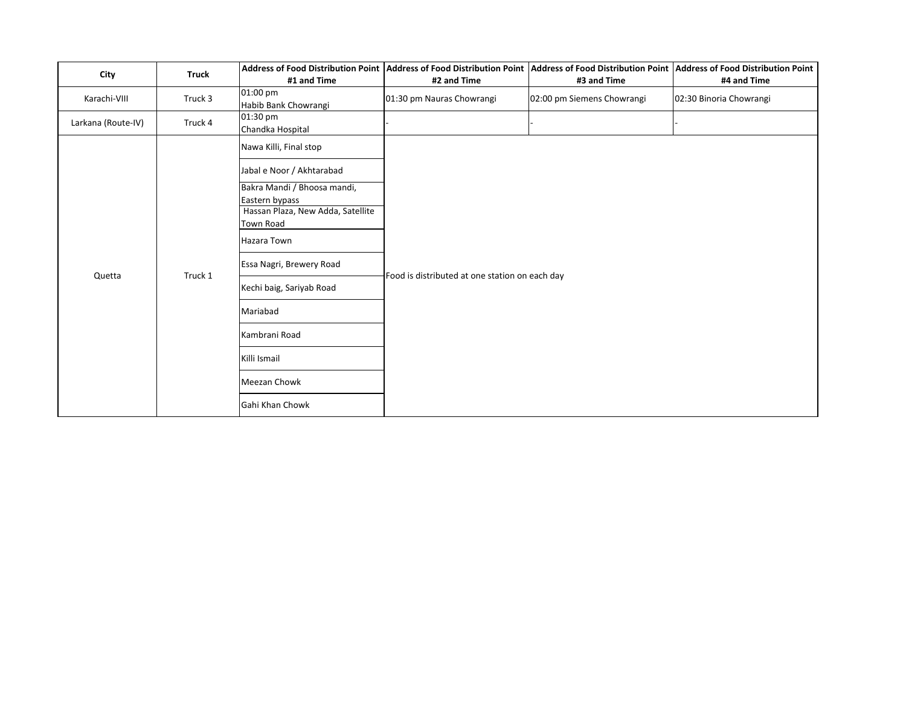| City               | <b>Truck</b> |                                                     | Address of Food Distribution Point  Address of Food Distribution Point  Address of Food Distribution Point  Address of Food Distribution Point |                            |                         |
|--------------------|--------------|-----------------------------------------------------|------------------------------------------------------------------------------------------------------------------------------------------------|----------------------------|-------------------------|
|                    |              | #1 and Time                                         | #2 and Time                                                                                                                                    | #3 and Time                | #4 and Time             |
| Karachi-VIII       | Truck 3      | 01:00 pm<br>Habib Bank Chowrangi                    | 01:30 pm Nauras Chowrangi                                                                                                                      | 02:00 pm Siemens Chowrangi | 02:30 Binoria Chowrangi |
| Larkana (Route-IV) | Truck 4      | 01:30 pm<br>Chandka Hospital                        |                                                                                                                                                |                            |                         |
|                    | Truck 1      | Nawa Killi, Final stop                              |                                                                                                                                                |                            |                         |
|                    |              | Jabal e Noor / Akhtarabad                           |                                                                                                                                                |                            |                         |
|                    |              | Bakra Mandi / Bhoosa mandi,                         |                                                                                                                                                |                            |                         |
|                    |              | Eastern bypass<br>Hassan Plaza, New Adda, Satellite |                                                                                                                                                |                            |                         |
| Quetta             |              | Town Road                                           |                                                                                                                                                |                            |                         |
|                    |              | Hazara Town                                         |                                                                                                                                                |                            |                         |
|                    |              | Essa Nagri, Brewery Road                            | Food is distributed at one station on each day                                                                                                 |                            |                         |
|                    |              | Kechi baig, Sariyab Road                            |                                                                                                                                                |                            |                         |
|                    |              | Mariabad                                            |                                                                                                                                                |                            |                         |
|                    |              | Kambrani Road                                       |                                                                                                                                                |                            |                         |
|                    |              | Killi Ismail                                        |                                                                                                                                                |                            |                         |
|                    |              | <b>Meezan Chowk</b>                                 |                                                                                                                                                |                            |                         |
|                    |              | Gahi Khan Chowk                                     |                                                                                                                                                |                            |                         |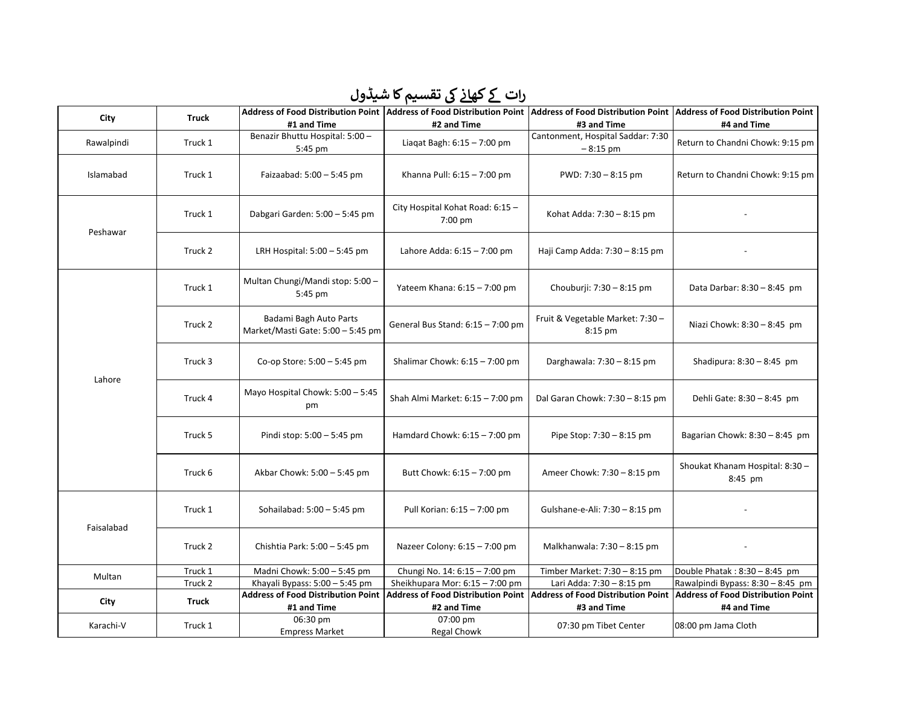## رات کے *کھ*انے کی تقسیم کا شیڈول

| #1 and Time<br>#2 and Time<br>#4 and Time<br>#3 and Time<br>Benazir Bhuttu Hospital: 5:00 -<br>Cantonment, Hospital Saddar: 7:30<br>Liaqat Bagh: 6:15 - 7:00 pm<br>Rawalpindi<br>Truck 1<br>Return to Chandni Chowk: 9:15 pm<br>$-8:15$ pm<br>5:45 pm<br>Islamabad<br>Truck 1<br>Faizaabad: 5:00 - 5:45 pm<br>Khanna Pull: 6:15 - 7:00 pm<br>PWD: 7:30 - 8:15 pm<br>Return to Chandni Chowk: 9:15 pm<br>City Hospital Kohat Road: 6:15 -<br>Truck 1<br>Dabgari Garden: 5:00 - 5:45 pm<br>Kohat Adda: 7:30 - 8:15 pm<br>7:00 pm<br>Peshawar<br>Truck 2<br>Lahore Adda: 6:15 - 7:00 pm<br>Haji Camp Adda: 7:30 - 8:15 pm<br>LRH Hospital: $5:00 - 5:45$ pm<br>Multan Chungi/Mandi stop: 5:00 -<br>Truck 1<br>Yateem Khana: 6:15 - 7:00 pm<br>Chouburji: 7:30 - 8:15 pm<br>Data Darbar: 8:30 - 8:45 pm<br>5:45 pm<br>Badami Bagh Auto Parts<br>Fruit & Vegetable Market: 7:30 -<br>Truck 2<br>General Bus Stand: 6:15 - 7:00 pm<br>Niazi Chowk: 8:30 - 8:45 pm<br>Market/Masti Gate: 5:00 - 5:45 pm<br>8:15 pm<br>Truck 3<br>Co-op Store: 5:00 - 5:45 pm<br>Shalimar Chowk: $6:15 - 7:00$ pm<br>Darghawala: 7:30 - 8:15 pm<br>Shadipura: $8:30 - 8:45$ pm<br>Lahore<br>Mayo Hospital Chowk: 5:00 - 5:45<br>Truck 4<br>Shah Almi Market: 6:15 - 7:00 pm<br>Dal Garan Chowk: 7:30 - 8:15 pm<br>Dehli Gate: 8:30 - 8:45 pm<br>pm<br>Truck 5<br>Hamdard Chowk: $6:15 - 7:00$ pm<br>Bagarian Chowk: 8:30 - 8:45 pm<br>Pindi stop: 5:00 - 5:45 pm<br>Pipe Stop: 7:30 - 8:15 pm<br>Shoukat Khanam Hospital: 8:30 -<br>Truck 6<br>Butt Chowk: 6:15 - 7:00 pm<br>Ameer Chowk: 7:30 - 8:15 pm<br>Akbar Chowk: 5:00 - 5:45 pm<br>8:45 pm<br>Truck 1<br>Sohailabad: 5:00 - 5:45 pm<br>Gulshane-e-Ali: 7:30 - 8:15 pm<br>Pull Korian: 6:15 - 7:00 pm<br>Faisalabad<br>Truck 2<br>Nazeer Colony: 6:15 - 7:00 pm<br>Chishtia Park: 5:00 - 5:45 pm<br>Malkhanwala: 7:30 - 8:15 pm<br>Truck 1<br>Madni Chowk: 5:00 - 5:45 pm<br>Chungi No. 14: 6:15 - 7:00 pm<br>Timber Market: 7:30 - 8:15 pm<br>Double Phatak: 8:30 - 8:45 pm<br>Multan<br>Truck 2<br>Khayali Bypass: 5:00 - 5:45 pm<br>Sheikhupara Mor: 6:15 - 7:00 pm<br>Lari Adda: 7:30 - 8:15 pm<br>Rawalpindi Bypass: 8:30 - 8:45 pm<br><b>Address of Food Distribution Point</b><br><b>Address of Food Distribution Point</b><br><b>Address of Food Distribution Point</b><br><b>Address of Food Distribution Point</b><br><b>Truck</b><br>City<br>#1 and Time<br>#2 and Time<br>#3 and Time<br>#4 and Time<br>06:30 pm<br>07:00 pm<br>Karachi-V<br>Truck 1<br>07:30 pm Tibet Center<br>08:00 pm Jama Cloth | City | <b>Truck</b> |                       |             | Address of Food Distribution Point   Address of Food Distribution Point   Address of Food Distribution Point   Address of Food Distribution Point |  |
|-------------------------------------------------------------------------------------------------------------------------------------------------------------------------------------------------------------------------------------------------------------------------------------------------------------------------------------------------------------------------------------------------------------------------------------------------------------------------------------------------------------------------------------------------------------------------------------------------------------------------------------------------------------------------------------------------------------------------------------------------------------------------------------------------------------------------------------------------------------------------------------------------------------------------------------------------------------------------------------------------------------------------------------------------------------------------------------------------------------------------------------------------------------------------------------------------------------------------------------------------------------------------------------------------------------------------------------------------------------------------------------------------------------------------------------------------------------------------------------------------------------------------------------------------------------------------------------------------------------------------------------------------------------------------------------------------------------------------------------------------------------------------------------------------------------------------------------------------------------------------------------------------------------------------------------------------------------------------------------------------------------------------------------------------------------------------------------------------------------------------------------------------------------------------------------------------------------------------------------------------------------------------------------------------------------------------------------------------------------------------------------------------------------------------------------------------------------------------------------------------------------------------------------------------|------|--------------|-----------------------|-------------|---------------------------------------------------------------------------------------------------------------------------------------------------|--|
|                                                                                                                                                                                                                                                                                                                                                                                                                                                                                                                                                                                                                                                                                                                                                                                                                                                                                                                                                                                                                                                                                                                                                                                                                                                                                                                                                                                                                                                                                                                                                                                                                                                                                                                                                                                                                                                                                                                                                                                                                                                                                                                                                                                                                                                                                                                                                                                                                                                                                                                                                 |      |              |                       |             |                                                                                                                                                   |  |
|                                                                                                                                                                                                                                                                                                                                                                                                                                                                                                                                                                                                                                                                                                                                                                                                                                                                                                                                                                                                                                                                                                                                                                                                                                                                                                                                                                                                                                                                                                                                                                                                                                                                                                                                                                                                                                                                                                                                                                                                                                                                                                                                                                                                                                                                                                                                                                                                                                                                                                                                                 |      |              |                       |             |                                                                                                                                                   |  |
|                                                                                                                                                                                                                                                                                                                                                                                                                                                                                                                                                                                                                                                                                                                                                                                                                                                                                                                                                                                                                                                                                                                                                                                                                                                                                                                                                                                                                                                                                                                                                                                                                                                                                                                                                                                                                                                                                                                                                                                                                                                                                                                                                                                                                                                                                                                                                                                                                                                                                                                                                 |      |              |                       |             |                                                                                                                                                   |  |
|                                                                                                                                                                                                                                                                                                                                                                                                                                                                                                                                                                                                                                                                                                                                                                                                                                                                                                                                                                                                                                                                                                                                                                                                                                                                                                                                                                                                                                                                                                                                                                                                                                                                                                                                                                                                                                                                                                                                                                                                                                                                                                                                                                                                                                                                                                                                                                                                                                                                                                                                                 |      |              |                       |             |                                                                                                                                                   |  |
|                                                                                                                                                                                                                                                                                                                                                                                                                                                                                                                                                                                                                                                                                                                                                                                                                                                                                                                                                                                                                                                                                                                                                                                                                                                                                                                                                                                                                                                                                                                                                                                                                                                                                                                                                                                                                                                                                                                                                                                                                                                                                                                                                                                                                                                                                                                                                                                                                                                                                                                                                 |      |              |                       |             |                                                                                                                                                   |  |
|                                                                                                                                                                                                                                                                                                                                                                                                                                                                                                                                                                                                                                                                                                                                                                                                                                                                                                                                                                                                                                                                                                                                                                                                                                                                                                                                                                                                                                                                                                                                                                                                                                                                                                                                                                                                                                                                                                                                                                                                                                                                                                                                                                                                                                                                                                                                                                                                                                                                                                                                                 |      |              |                       |             |                                                                                                                                                   |  |
|                                                                                                                                                                                                                                                                                                                                                                                                                                                                                                                                                                                                                                                                                                                                                                                                                                                                                                                                                                                                                                                                                                                                                                                                                                                                                                                                                                                                                                                                                                                                                                                                                                                                                                                                                                                                                                                                                                                                                                                                                                                                                                                                                                                                                                                                                                                                                                                                                                                                                                                                                 |      |              |                       |             |                                                                                                                                                   |  |
|                                                                                                                                                                                                                                                                                                                                                                                                                                                                                                                                                                                                                                                                                                                                                                                                                                                                                                                                                                                                                                                                                                                                                                                                                                                                                                                                                                                                                                                                                                                                                                                                                                                                                                                                                                                                                                                                                                                                                                                                                                                                                                                                                                                                                                                                                                                                                                                                                                                                                                                                                 |      |              |                       |             |                                                                                                                                                   |  |
|                                                                                                                                                                                                                                                                                                                                                                                                                                                                                                                                                                                                                                                                                                                                                                                                                                                                                                                                                                                                                                                                                                                                                                                                                                                                                                                                                                                                                                                                                                                                                                                                                                                                                                                                                                                                                                                                                                                                                                                                                                                                                                                                                                                                                                                                                                                                                                                                                                                                                                                                                 |      |              |                       |             |                                                                                                                                                   |  |
|                                                                                                                                                                                                                                                                                                                                                                                                                                                                                                                                                                                                                                                                                                                                                                                                                                                                                                                                                                                                                                                                                                                                                                                                                                                                                                                                                                                                                                                                                                                                                                                                                                                                                                                                                                                                                                                                                                                                                                                                                                                                                                                                                                                                                                                                                                                                                                                                                                                                                                                                                 |      |              |                       |             |                                                                                                                                                   |  |
|                                                                                                                                                                                                                                                                                                                                                                                                                                                                                                                                                                                                                                                                                                                                                                                                                                                                                                                                                                                                                                                                                                                                                                                                                                                                                                                                                                                                                                                                                                                                                                                                                                                                                                                                                                                                                                                                                                                                                                                                                                                                                                                                                                                                                                                                                                                                                                                                                                                                                                                                                 |      |              |                       |             |                                                                                                                                                   |  |
|                                                                                                                                                                                                                                                                                                                                                                                                                                                                                                                                                                                                                                                                                                                                                                                                                                                                                                                                                                                                                                                                                                                                                                                                                                                                                                                                                                                                                                                                                                                                                                                                                                                                                                                                                                                                                                                                                                                                                                                                                                                                                                                                                                                                                                                                                                                                                                                                                                                                                                                                                 |      |              |                       |             |                                                                                                                                                   |  |
|                                                                                                                                                                                                                                                                                                                                                                                                                                                                                                                                                                                                                                                                                                                                                                                                                                                                                                                                                                                                                                                                                                                                                                                                                                                                                                                                                                                                                                                                                                                                                                                                                                                                                                                                                                                                                                                                                                                                                                                                                                                                                                                                                                                                                                                                                                                                                                                                                                                                                                                                                 |      |              |                       |             |                                                                                                                                                   |  |
|                                                                                                                                                                                                                                                                                                                                                                                                                                                                                                                                                                                                                                                                                                                                                                                                                                                                                                                                                                                                                                                                                                                                                                                                                                                                                                                                                                                                                                                                                                                                                                                                                                                                                                                                                                                                                                                                                                                                                                                                                                                                                                                                                                                                                                                                                                                                                                                                                                                                                                                                                 |      |              |                       |             |                                                                                                                                                   |  |
|                                                                                                                                                                                                                                                                                                                                                                                                                                                                                                                                                                                                                                                                                                                                                                                                                                                                                                                                                                                                                                                                                                                                                                                                                                                                                                                                                                                                                                                                                                                                                                                                                                                                                                                                                                                                                                                                                                                                                                                                                                                                                                                                                                                                                                                                                                                                                                                                                                                                                                                                                 |      |              |                       |             |                                                                                                                                                   |  |
|                                                                                                                                                                                                                                                                                                                                                                                                                                                                                                                                                                                                                                                                                                                                                                                                                                                                                                                                                                                                                                                                                                                                                                                                                                                                                                                                                                                                                                                                                                                                                                                                                                                                                                                                                                                                                                                                                                                                                                                                                                                                                                                                                                                                                                                                                                                                                                                                                                                                                                                                                 |      |              |                       |             |                                                                                                                                                   |  |
|                                                                                                                                                                                                                                                                                                                                                                                                                                                                                                                                                                                                                                                                                                                                                                                                                                                                                                                                                                                                                                                                                                                                                                                                                                                                                                                                                                                                                                                                                                                                                                                                                                                                                                                                                                                                                                                                                                                                                                                                                                                                                                                                                                                                                                                                                                                                                                                                                                                                                                                                                 |      |              |                       |             |                                                                                                                                                   |  |
|                                                                                                                                                                                                                                                                                                                                                                                                                                                                                                                                                                                                                                                                                                                                                                                                                                                                                                                                                                                                                                                                                                                                                                                                                                                                                                                                                                                                                                                                                                                                                                                                                                                                                                                                                                                                                                                                                                                                                                                                                                                                                                                                                                                                                                                                                                                                                                                                                                                                                                                                                 |      |              |                       |             |                                                                                                                                                   |  |
|                                                                                                                                                                                                                                                                                                                                                                                                                                                                                                                                                                                                                                                                                                                                                                                                                                                                                                                                                                                                                                                                                                                                                                                                                                                                                                                                                                                                                                                                                                                                                                                                                                                                                                                                                                                                                                                                                                                                                                                                                                                                                                                                                                                                                                                                                                                                                                                                                                                                                                                                                 |      |              | <b>Empress Market</b> | Regal Chowk |                                                                                                                                                   |  |